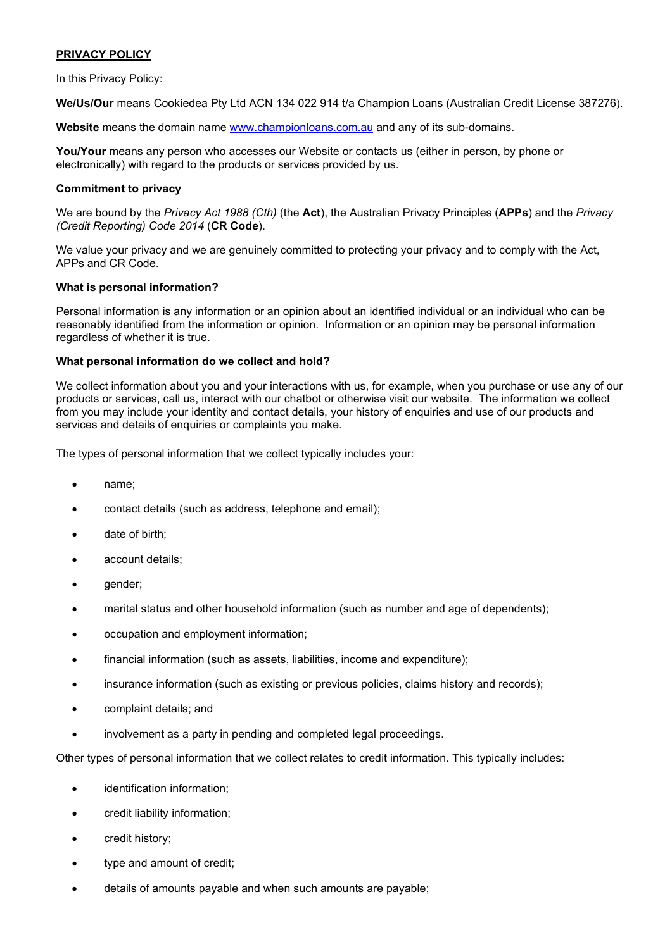# PRIVACY POLICY

In this Privacy Policy:

We/Us/Our means Cookiedea Pty Ltd ACN 134 022 914 t/a Champion Loans (Australian Credit License 387276).

Website means the domain name www.championloans.com.au and any of its sub-domains.

You/Your means any person who accesses our Website or contacts us (either in person, by phone or electronically) with regard to the products or services provided by us.

### Commitment to privacy

We are bound by the Privacy Act 1988 (Cth) (the Act), the Australian Privacy Principles (APPs) and the Privacy (Credit Reporting) Code 2014 (CR Code).

We value your privacy and we are genuinely committed to protecting your privacy and to comply with the Act, APPs and CR Code.

### What is personal information?

Personal information is any information or an opinion about an identified individual or an individual who can be reasonably identified from the information or opinion. Information or an opinion may be personal information regardless of whether it is true.

### What personal information do we collect and hold?

We collect information about you and your interactions with us, for example, when you purchase or use any of our products or services, call us, interact with our chatbot or otherwise visit our website. The information we collect from you may include your identity and contact details, your history of enquiries and use of our products and services and details of enquiries or complaints you make.

The types of personal information that we collect typically includes your:

- name;
- contact details (such as address, telephone and email);
- date of birth;
- account details;
- gender;
- marital status and other household information (such as number and age of dependents);
- occupation and employment information;
- financial information (such as assets, liabilities, income and expenditure);
- insurance information (such as existing or previous policies, claims history and records);
- complaint details; and
- involvement as a party in pending and completed legal proceedings.

Other types of personal information that we collect relates to credit information. This typically includes:

- identification information;
- credit liability information;
- credit history;
- type and amount of credit;
- details of amounts payable and when such amounts are payable;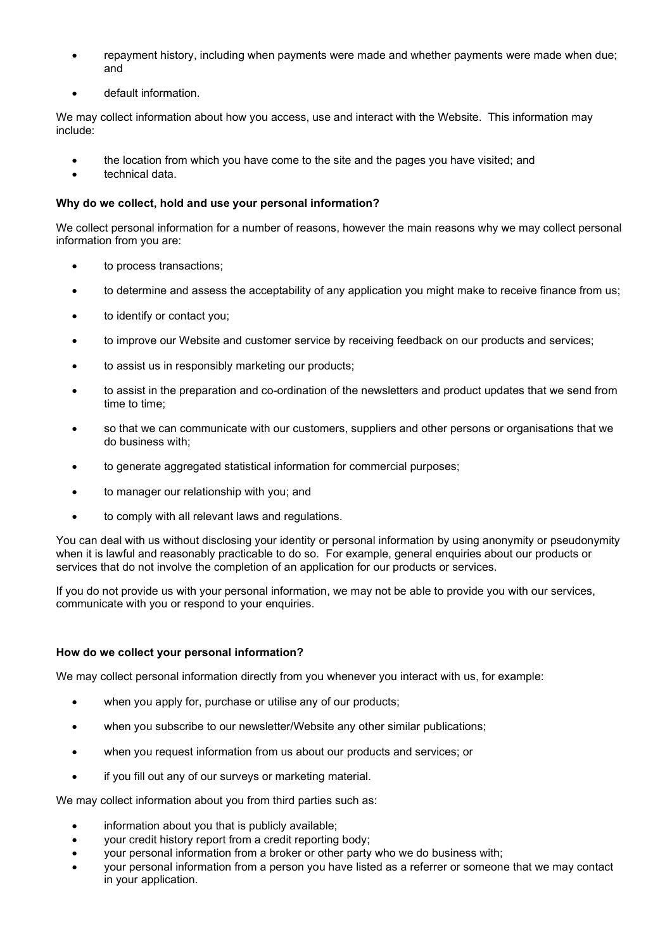- repayment history, including when payments were made and whether payments were made when due; and
- default information.

We may collect information about how you access, use and interact with the Website. This information may include:

- the location from which you have come to the site and the pages you have visited; and
- technical data.

# Why do we collect, hold and use your personal information?

We collect personal information for a number of reasons, however the main reasons why we may collect personal information from you are:

- to process transactions;
- to determine and assess the acceptability of any application you might make to receive finance from us;
- to identify or contact you;
- to improve our Website and customer service by receiving feedback on our products and services;
- to assist us in responsibly marketing our products;
- to assist in the preparation and co-ordination of the newsletters and product updates that we send from time to time;
- so that we can communicate with our customers, suppliers and other persons or organisations that we do business with;
- to generate aggregated statistical information for commercial purposes;
- to manager our relationship with you; and
- to comply with all relevant laws and regulations.

You can deal with us without disclosing your identity or personal information by using anonymity or pseudonymity when it is lawful and reasonably practicable to do so. For example, general enquiries about our products or services that do not involve the completion of an application for our products or services.

If you do not provide us with your personal information, we may not be able to provide you with our services, communicate with you or respond to your enquiries.

## How do we collect your personal information?

We may collect personal information directly from you whenever you interact with us, for example:

- when you apply for, purchase or utilise any of our products;
- when you subscribe to our newsletter/Website any other similar publications;
- when you request information from us about our products and services; or
- if you fill out any of our surveys or marketing material.

We may collect information about you from third parties such as:

- information about you that is publicly available;
- your credit history report from a credit reporting body;
- your personal information from a broker or other party who we do business with;
- your personal information from a person you have listed as a referrer or someone that we may contact in your application.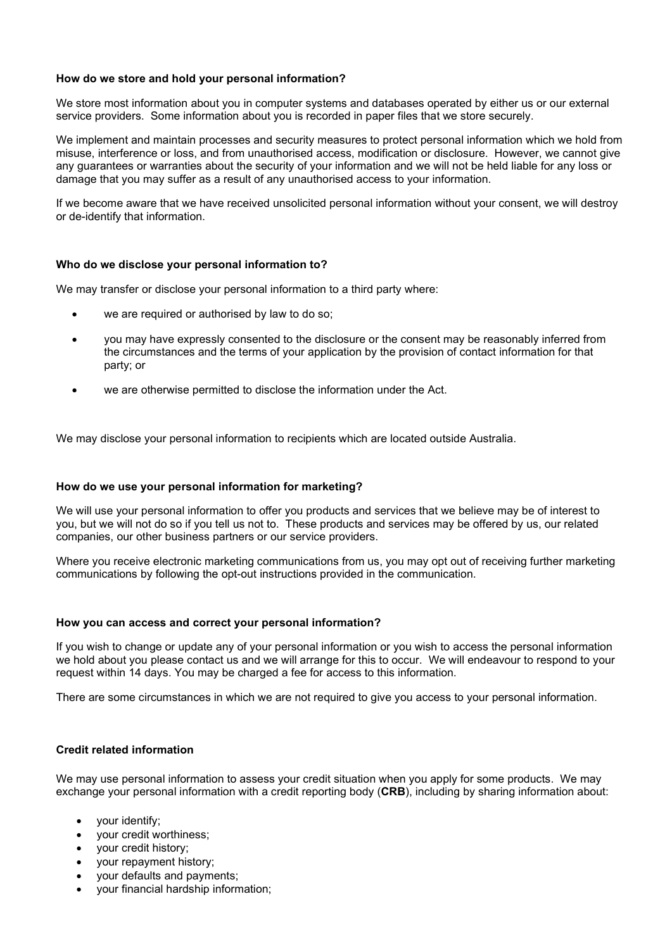#### How do we store and hold your personal information?

We store most information about you in computer systems and databases operated by either us or our external service providers. Some information about you is recorded in paper files that we store securely.

We implement and maintain processes and security measures to protect personal information which we hold from misuse, interference or loss, and from unauthorised access, modification or disclosure. However, we cannot give any guarantees or warranties about the security of your information and we will not be held liable for any loss or damage that you may suffer as a result of any unauthorised access to your information.

If we become aware that we have received unsolicited personal information without your consent, we will destroy or de-identify that information.

### Who do we disclose your personal information to?

We may transfer or disclose your personal information to a third party where:

- we are required or authorised by law to do so:
- you may have expressly consented to the disclosure or the consent may be reasonably inferred from the circumstances and the terms of your application by the provision of contact information for that party; or
- we are otherwise permitted to disclose the information under the Act.

We may disclose your personal information to recipients which are located outside Australia.

#### How do we use your personal information for marketing?

We will use your personal information to offer you products and services that we believe may be of interest to you, but we will not do so if you tell us not to. These products and services may be offered by us, our related companies, our other business partners or our service providers.

Where you receive electronic marketing communications from us, you may opt out of receiving further marketing communications by following the opt-out instructions provided in the communication.

#### How you can access and correct your personal information?

If you wish to change or update any of your personal information or you wish to access the personal information we hold about you please contact us and we will arrange for this to occur. We will endeavour to respond to your request within 14 days. You may be charged a fee for access to this information.

There are some circumstances in which we are not required to give you access to your personal information.

## Credit related information

We may use personal information to assess your credit situation when you apply for some products. We may exchange your personal information with a credit reporting body (CRB), including by sharing information about:

- your identify;
- your credit worthiness;
- your credit history;
- your repayment history;
- your defaults and payments;
- your financial hardship information;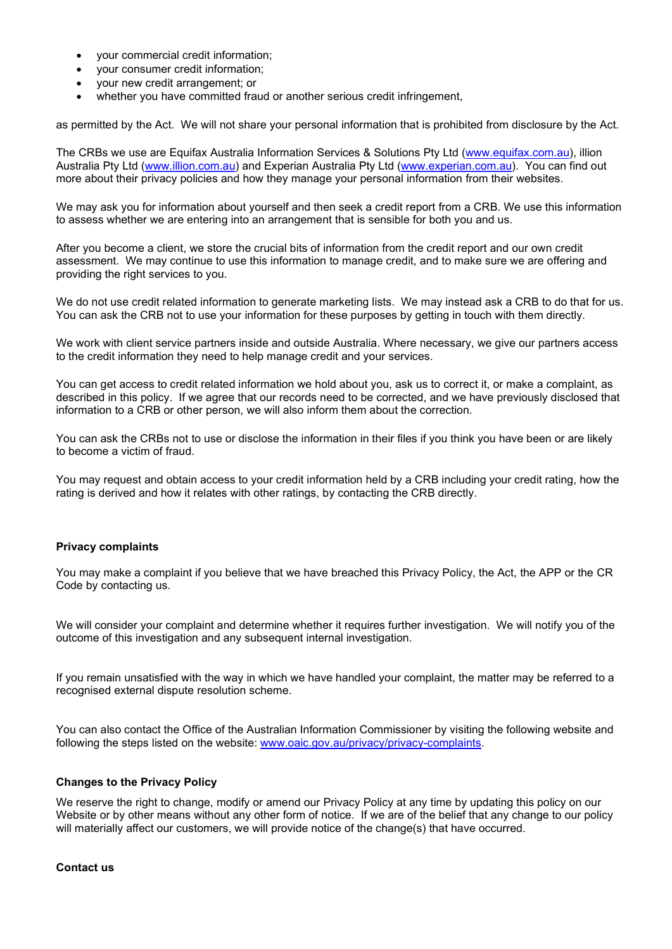- your commercial credit information;
- your consumer credit information;
- your new credit arrangement; or
- whether you have committed fraud or another serious credit infringement,

as permitted by the Act. We will not share your personal information that is prohibited from disclosure by the Act.

The CRBs we use are Equifax Australia Information Services & Solutions Pty Ltd (www.equifax.com.au), illion Australia Pty Ltd (www.illion.com.au) and Experian Australia Pty Ltd (www.experian.com.au). You can find out more about their privacy policies and how they manage your personal information from their websites.

We may ask you for information about yourself and then seek a credit report from a CRB. We use this information to assess whether we are entering into an arrangement that is sensible for both you and us.

After you become a client, we store the crucial bits of information from the credit report and our own credit assessment. We may continue to use this information to manage credit, and to make sure we are offering and providing the right services to you.

We do not use credit related information to generate marketing lists. We may instead ask a CRB to do that for us. You can ask the CRB not to use your information for these purposes by getting in touch with them directly.

We work with client service partners inside and outside Australia. Where necessary, we give our partners access to the credit information they need to help manage credit and your services.

You can get access to credit related information we hold about you, ask us to correct it, or make a complaint, as described in this policy. If we agree that our records need to be corrected, and we have previously disclosed that information to a CRB or other person, we will also inform them about the correction.

You can ask the CRBs not to use or disclose the information in their files if you think you have been or are likely to become a victim of fraud.

You may request and obtain access to your credit information held by a CRB including your credit rating, how the rating is derived and how it relates with other ratings, by contacting the CRB directly.

## Privacy complaints

You may make a complaint if you believe that we have breached this Privacy Policy, the Act, the APP or the CR Code by contacting us.

We will consider your complaint and determine whether it requires further investigation. We will notify you of the outcome of this investigation and any subsequent internal investigation.

If you remain unsatisfied with the way in which we have handled your complaint, the matter may be referred to a recognised external dispute resolution scheme.

You can also contact the Office of the Australian Information Commissioner by visiting the following website and following the steps listed on the website: www.oaic.gov.au/privacy/privacy-complaints.

#### Changes to the Privacy Policy

We reserve the right to change, modify or amend our Privacy Policy at any time by updating this policy on our Website or by other means without any other form of notice. If we are of the belief that any change to our policy will materially affect our customers, we will provide notice of the change(s) that have occurred.

#### Contact us